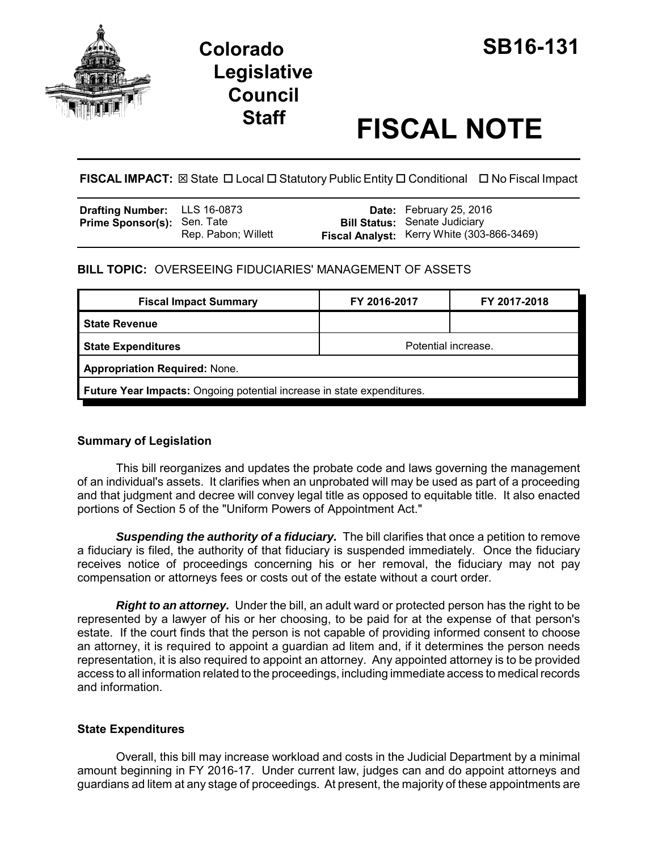

# **Staff FISCAL NOTE**

**FISCAL IMPACT:** ⊠ State □ Local □ Statutory Public Entity □ Conditional □ No Fiscal Impact

| <b>Drafting Number:</b> LLS 16-0873 |                     | <b>Date:</b> February 25, 2016                    |
|-------------------------------------|---------------------|---------------------------------------------------|
| <b>Prime Sponsor(s): Sen. Tate</b>  |                     | <b>Bill Status:</b> Senate Judiciary              |
|                                     | Rep. Pabon; Willett | <b>Fiscal Analyst:</b> Kerry White (303-866-3469) |

**BILL TOPIC:** OVERSEEING FIDUCIARIES' MANAGEMENT OF ASSETS

| <b>Fiscal Impact Summary</b>                                                  | FY 2016-2017        | FY 2017-2018 |  |  |  |
|-------------------------------------------------------------------------------|---------------------|--------------|--|--|--|
| l State Revenue                                                               |                     |              |  |  |  |
| <b>State Expenditures</b>                                                     | Potential increase. |              |  |  |  |
| <b>Appropriation Required: None.</b>                                          |                     |              |  |  |  |
| <b>Future Year Impacts:</b> Ongoing potential increase in state expenditures. |                     |              |  |  |  |

## **Summary of Legislation**

This bill reorganizes and updates the probate code and laws governing the management of an individual's assets. It clarifies when an unprobated will may be used as part of a proceeding and that judgment and decree will convey legal title as opposed to equitable title. It also enacted portions of Section 5 of the "Uniform Powers of Appointment Act."

**Suspending the authority of a fiduciary.** The bill clarifies that once a petition to remove a fiduciary is filed, the authority of that fiduciary is suspended immediately. Once the fiduciary receives notice of proceedings concerning his or her removal, the fiduciary may not pay compensation or attorneys fees or costs out of the estate without a court order.

*Right to an attorney.* Under the bill, an adult ward or protected person has the right to be represented by a lawyer of his or her choosing, to be paid for at the expense of that person's estate. If the court finds that the person is not capable of providing informed consent to choose an attorney, it is required to appoint a guardian ad litem and, if it determines the person needs representation, it is also required to appoint an attorney. Any appointed attorney is to be provided access to all information related to the proceedings, including immediate access to medical records and information.

## **State Expenditures**

Overall, this bill may increase workload and costs in the Judicial Department by a minimal amount beginning in FY 2016-17. Under current law, judges can and do appoint attorneys and guardians ad litem at any stage of proceedings. At present, the majority of these appointments are